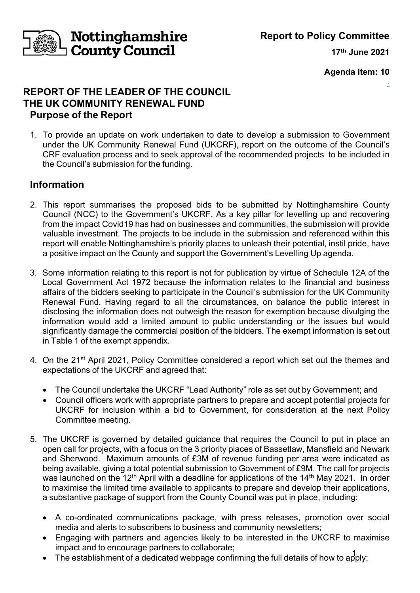**Report to Policy Committee**

**17th June 2021**

.

**Agenda Item: 10**

# **REPORT OF THE LEADER OF THE COUNCIL THE UK COMMUNITY RENEWAL FUND Purpose of the Report**

Nottinghamshire

 $\mathsf{\mathord{\text{--}}}$  County Council

1. To provide an update on work undertaken to date to develop a submission to Government under the UK Community Renewal Fund (UKCRF), report on the outcome of the Council's CRF evaluation process and to seek approval of the recommended projects to be included in the Council's submission for the funding.

# **Information**

- 2. This report summarises the proposed bids to be submitted by Nottinghamshire County Council (NCC) to the Government's UKCRF. As a key pillar for levelling up and recovering from the impact Covid19 has had on businesses and communities, the submission will provide valuable investment. The projects to be include in the submission and referenced within this report will enable Nottinghamshire's priority places to unleash their potential, instil pride, have a positive impact on the County and support the Government's Levelling Up agenda.
- 3. Some information relating to this report is not for publication by virtue of Schedule 12A of the Local Government Act 1972 because the information relates to the financial and business affairs of the bidders seeking to participate in the Council's submission for the UK Community Renewal Fund. Having regard to all the circumstances, on balance the public interest in disclosing the information does not outweigh the reason for exemption because divulging the information would add a limited amount to public understanding or the issues but would significantly damage the commercial position of the bidders. The exempt information is set out in Table 1 of the exempt appendix.
- 4. On the 21<sup>st</sup> April 2021, Policy Committee considered a report which set out the themes and expectations of the UKCRF and agreed that:
	- The Council undertake the UKCRF "Lead Authority" role as set out by Government; and
	- Council officers work with appropriate partners to prepare and accept potential projects for UKCRF for inclusion within a bid to Government, for consideration at the next Policy Committee meeting.
- 5. The UKCRF is governed by detailed guidance that requires the Council to put in place an open call for projects, with a focus on the 3 priority places of Bassetlaw, Mansfield and Newark and Sherwood. Maximum amounts of £3M of revenue funding per area were indicated as being available, giving a total potential submission to Government of £9M. The call for projects was launched on the 12<sup>th</sup> April with a deadline for applications of the 14<sup>th</sup> May 2021. In order to maximise the limited time available to applicants to prepare and develop their applications, a substantive package of support from the County Council was put in place, including:
	- A co-ordinated communications package, with press releases, promotion over social media and alerts to subscribers to business and community newsletters;
	- Engaging with partners and agencies likely to be interested in the UKCRF to maximise impact and to encourage partners to collaborate;
	- The establishment of a dedicated webpage confirming the full details of how to apply;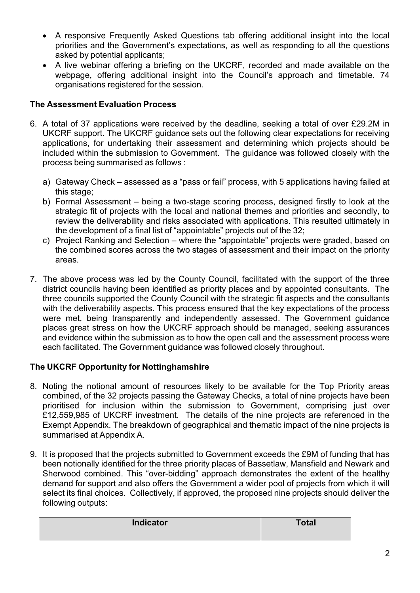- A responsive Frequently Asked Questions tab offering additional insight into the local priorities and the Government's expectations, as well as responding to all the questions asked by potential applicants;
- A live webinar offering a briefing on the UKCRF, recorded and made available on the webpage, offering additional insight into the Council's approach and timetable. 74 organisations registered for the session.

## **The Assessment Evaluation Process**

- 6. A total of 37 applications were received by the deadline, seeking a total of over £29.2M in UKCRF support. The UKCRF guidance sets out the following clear expectations for receiving applications, for undertaking their assessment and determining which projects should be included within the submission to Government. The guidance was followed closely with the process being summarised as follows :
	- a) Gateway Check assessed as a "pass or fail" process, with 5 applications having failed at this stage;
	- b) Formal Assessment being a two-stage scoring process, designed firstly to look at the strategic fit of projects with the local and national themes and priorities and secondly, to review the deliverability and risks associated with applications. This resulted ultimately in the development of a final list of "appointable" projects out of the 32;
	- c) Project Ranking and Selection where the "appointable" projects were graded, based on the combined scores across the two stages of assessment and their impact on the priority areas.
- 7. The above process was led by the County Council, facilitated with the support of the three district councils having been identified as priority places and by appointed consultants. The three councils supported the County Council with the strategic fit aspects and the consultants with the deliverability aspects. This process ensured that the key expectations of the process were met, being transparently and independently assessed. The Government guidance places great stress on how the UKCRF approach should be managed, seeking assurances and evidence within the submission as to how the open call and the assessment process were each facilitated. The Government guidance was followed closely throughout.

# **The UKCRF Opportunity for Nottinghamshire**

- 8. Noting the notional amount of resources likely to be available for the Top Priority areas combined, of the 32 projects passing the Gateway Checks, a total of nine projects have been prioritised for inclusion within the submission to Government, comprising just over £12,559,985 of UKCRF investment. The details of the nine projects are referenced in the Exempt Appendix. The breakdown of geographical and thematic impact of the nine projects is summarised at Appendix A.
- 9. It is proposed that the projects submitted to Government exceeds the £9M of funding that has been notionally identified for the three priority places of Bassetlaw, Mansfield and Newark and Sherwood combined. This "over-bidding" approach demonstrates the extent of the healthy demand for support and also offers the Government a wider pool of projects from which it will select its final choices. Collectively, if approved, the proposed nine projects should deliver the following outputs:

| <b>Indicator</b> | <b>Total</b> |
|------------------|--------------|
|                  |              |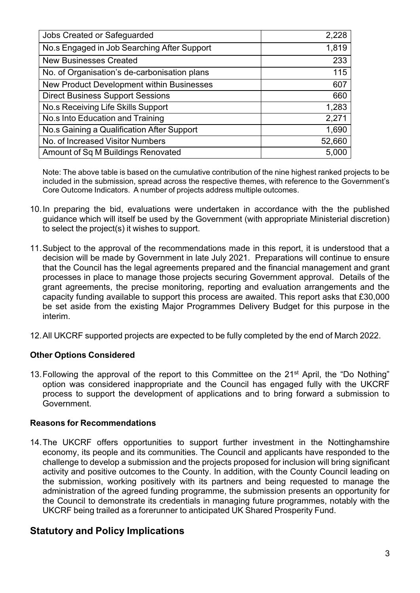| Jobs Created or Safeguarded                  | 2,228  |
|----------------------------------------------|--------|
| No.s Engaged in Job Searching After Support  | 1,819  |
| <b>New Businesses Created</b>                | 233    |
| No. of Organisation's de-carbonisation plans | 115    |
| New Product Development within Businesses    | 607    |
| <b>Direct Business Support Sessions</b>      | 660    |
| No.s Receiving Life Skills Support           | 1,283  |
| No.s Into Education and Training             | 2,271  |
| No.s Gaining a Qualification After Support   | 1,690  |
| No. of Increased Visitor Numbers             | 52,660 |
| Amount of Sq M Buildings Renovated           | 5,000  |

Note: The above table is based on the cumulative contribution of the nine highest ranked projects to be included in the submission, spread across the respective themes, with reference to the Government's Core Outcome Indicators. A number of projects address multiple outcomes.

- 10. In preparing the bid, evaluations were undertaken in accordance with the the published guidance which will itself be used by the Government (with appropriate Ministerial discretion) to select the project(s) it wishes to support.
- 11.Subject to the approval of the recommendations made in this report, it is understood that a decision will be made by Government in late July 2021. Preparations will continue to ensure that the Council has the legal agreements prepared and the financial management and grant processes in place to manage those projects securing Government approval. Details of the grant agreements, the precise monitoring, reporting and evaluation arrangements and the capacity funding available to support this process are awaited. This report asks that £30,000 be set aside from the existing Major Programmes Delivery Budget for this purpose in the interim.
- 12.All UKCRF supported projects are expected to be fully completed by the end of March 2022.

## **Other Options Considered**

13. Following the approval of the report to this Committee on the 21<sup>st</sup> April, the "Do Nothing" option was considered inappropriate and the Council has engaged fully with the UKCRF process to support the development of applications and to bring forward a submission to Government.

## **Reasons for Recommendations**

14.The UKCRF offers opportunities to support further investment in the Nottinghamshire economy, its people and its communities. The Council and applicants have responded to the challenge to develop a submission and the projects proposed for inclusion will bring significant activity and positive outcomes to the County. In addition, with the County Council leading on the submission, working positively with its partners and being requested to manage the administration of the agreed funding programme, the submission presents an opportunity for the Council to demonstrate its credentials in managing future programmes, notably with the UKCRF being trailed as a forerunner to anticipated UK Shared Prosperity Fund.

# **Statutory and Policy Implications**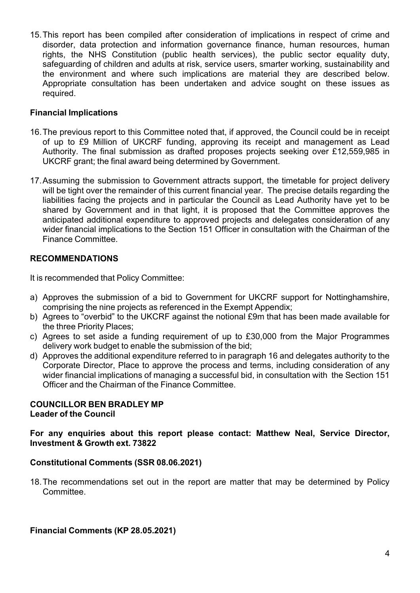15.This report has been compiled after consideration of implications in respect of crime and disorder, data protection and information governance finance, human resources, human rights, the NHS Constitution (public health services), the public sector equality duty, safeguarding of children and adults at risk, service users, smarter working, sustainability and the environment and where such implications are material they are described below. Appropriate consultation has been undertaken and advice sought on these issues as required.

#### **Financial Implications**

- 16.The previous report to this Committee noted that, if approved, the Council could be in receipt of up to £9 Million of UKCRF funding, approving its receipt and management as Lead Authority. The final submission as drafted proposes projects seeking over £12,559,985 in UKCRF grant; the final award being determined by Government.
- 17.Assuming the submission to Government attracts support, the timetable for project delivery will be tight over the remainder of this current financial year. The precise details regarding the liabilities facing the projects and in particular the Council as Lead Authority have yet to be shared by Government and in that light, it is proposed that the Committee approves the anticipated additional expenditure to approved projects and delegates consideration of any wider financial implications to the Section 151 Officer in consultation with the Chairman of the Finance Committee.

#### **RECOMMENDATIONS**

It is recommended that Policy Committee:

- a) Approves the submission of a bid to Government for UKCRF support for Nottinghamshire, comprising the nine projects as referenced in the Exempt Appendix;
- b) Agrees to "overbid" to the UKCRF against the notional £9m that has been made available for the three Priority Places;
- c) Agrees to set aside a funding requirement of up to £30,000 from the Major Programmes delivery work budget to enable the submission of the bid;
- d) Approves the additional expenditure referred to in paragraph 16 and delegates authority to the Corporate Director, Place to approve the process and terms, including consideration of any wider financial implications of managing a successful bid, in consultation with the Section 151 Officer and the Chairman of the Finance Committee.

#### **COUNCILLOR BEN BRADLEY MP Leader of the Council**

#### **For any enquiries about this report please contact: Matthew Neal, Service Director, Investment & Growth ext. 73822**

#### **Constitutional Comments (SSR 08.06.2021)**

18. The recommendations set out in the report are matter that may be determined by Policy Committee.

**Financial Comments (KP 28.05.2021)**